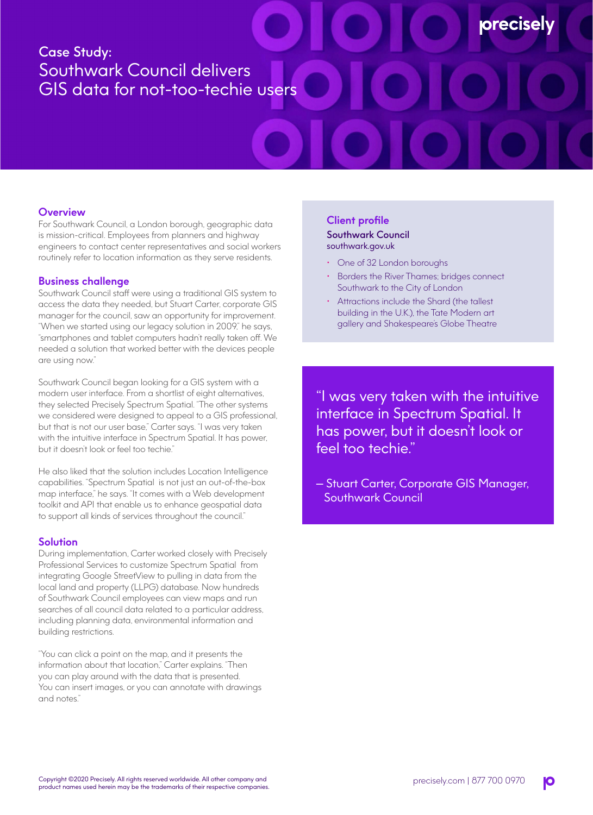# Case Study: Southwark Council delivers GIS data for not-too-techie users

## **Overview**

For Southwark Council, a London borough, geographic data is mission-critical. Employees from planners and highway engineers to contact center representatives and social workers routinely refer to location information as they serve residents.

## **Business challenge**

Southwark Council staff were using a traditional GIS system to access the data they needed, but Stuart Carter, corporate GIS manager for the council, saw an opportunity for improvement. "When we started using our legacy solution in 2009," he says, "smartphones and tablet computers hadn't really taken off. We needed a solution that worked better with the devices people are using now."

Southwark Council began looking for a GIS system with a modern user interface. From a shortlist of eight alternatives, they selected Precisely Spectrum Spatial. "The other systems we considered were designed to appeal to a GIS professional, but that is not our user base," Carter says. "I was very taken with the intuitive interface in Spectrum Spatial. It has power, but it doesn't look or feel too techie."

He also liked that the solution includes Location Intelligence capabilities. "Spectrum Spatial is not just an out-of-the-box map interface," he says. "It comes with a Web development toolkit and API that enable us to enhance geospatial data to support all kinds of services throughout the council."

#### **Solution**

During implementation, Carter worked closely with Precisely Professional Services to customize Spectrum Spatial from integrating Google StreetView to pulling in data from the local land and property (LLPG) database. Now hundreds of Southwark Council employees can view maps and run searches of all council data related to a particular address, including planning data, environmental information and building restrictions.

"You can click a point on the map, and it presents the information about that location," Carter explains. "Then you can play around with the data that is presented. You can insert images, or you can annotate with drawings and notes."

## **Client profile**

Southwark Council southwark.gov.uk

- One of 32 London boroughs
- Borders the River Thames; bridges connect Southwark to the City of London

**precisel** 

• Attractions include the Shard (the tallest building in the U.K.), the Tate Modern art gallery and Shakespeare's Globe Theatre

"I was very taken with the intuitive interface in Spectrum Spatial. It has power, but it doesn't look or feel too techie."

— Stuart Carter, Corporate GIS Manager, Southwark Council